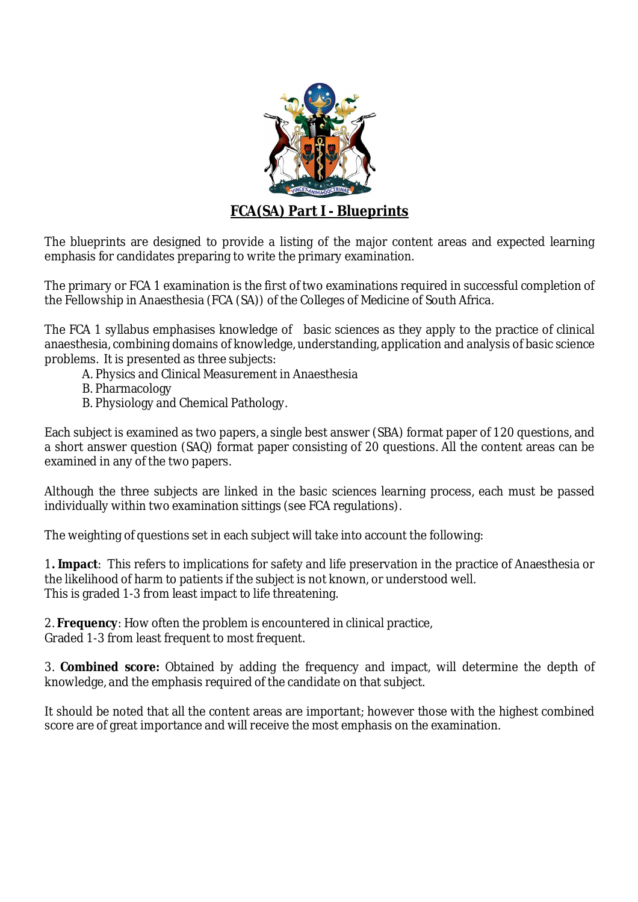

The blueprints are designed to provide a listing of the major content areas and expected learning emphasis for candidates preparing to write the primary examination.

The primary or FCA 1 examination is the first of two examinations required in successful completion of the Fellowship in Anaesthesia (FCA (SA)) of the Colleges of Medicine of South Africa.

The FCA 1 syllabus emphasises knowledge of basic sciences as they apply to the practice of clinical anaesthesia, combining domains of knowledge, understanding, application and analysis of basic science problems. It is presented as three subjects:

- A. Physics and Clinical Measurement in Anaesthesia
- B. Pharmacology
- B. Physiology and Chemical Pathology.

Each subject is examined as two papers, a single best answer (SBA) format paper of 120 questions, and a short answer question (SAQ) format paper consisting of 20 questions. All the content areas can be examined in any of the two papers.

Although the three subjects are linked in the basic sciences learning process, each must be passed individually within two examination sittings (see FCA regulations).

The weighting of questions set in each subject will take into account the following:

1**. Impact**: This refers to implications for safety and life preservation in the practice of Anaesthesia or the likelihood of harm to patients if the subject is not known, or understood well. This is graded 1-3 from least impact to life threatening.

2. **Frequency**: How often the problem is encountered in clinical practice, Graded 1-3 from least frequent to most frequent.

3. **Combined score:** Obtained by adding the frequency and impact, will determine the depth of knowledge, and the emphasis required of the candidate on that subject.

It should be noted that all the content areas are important; however those with the highest combined score are of great importance and will receive the most emphasis on the examination.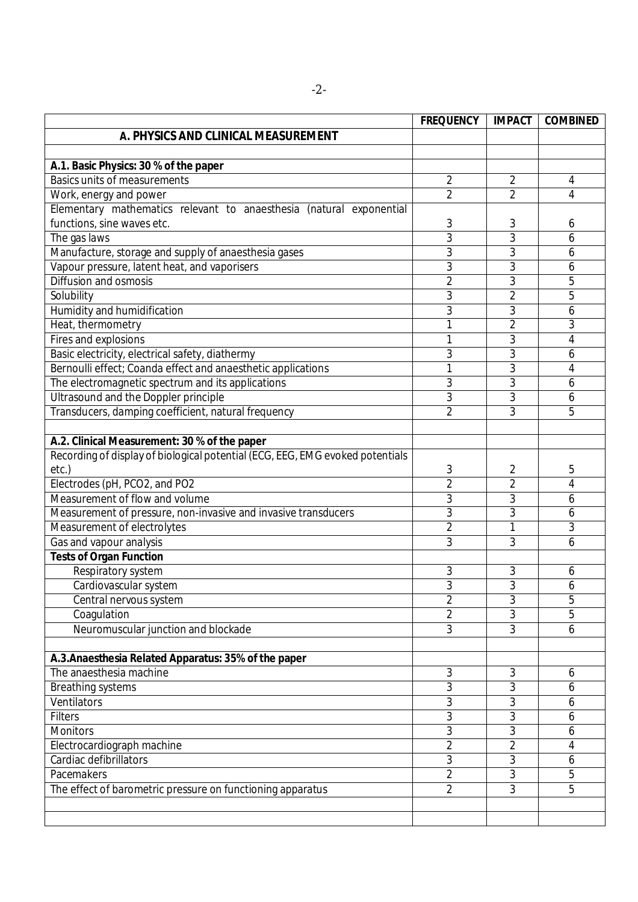|                                                                               | <b>FREQUENCY</b> | <b>IMPACT</b>  | <b>COMBINED</b>     |
|-------------------------------------------------------------------------------|------------------|----------------|---------------------|
| A. PHYSICS AND CLINICAL MEASUREMENT                                           |                  |                |                     |
|                                                                               |                  |                |                     |
| A.1. Basic Physics: 30 % of the paper                                         |                  |                |                     |
| <b>Basics units of measurements</b>                                           | $\overline{2}$   | $\overline{2}$ | 4                   |
| Work, energy and power                                                        | $\overline{2}$   | $\overline{2}$ | $\overline{4}$      |
| Elementary mathematics relevant to anaesthesia (natural exponential           |                  |                |                     |
| functions, sine waves etc.                                                    | 3                | 3              | 6                   |
| The gas laws                                                                  | 3                | 3              | 6                   |
| Manufacture, storage and supply of anaesthesia gases                          | 3                | 3              | 6                   |
| Vapour pressure, latent heat, and vaporisers                                  | 3                | 3              | 6                   |
| <b>Diffusion and osmosis</b>                                                  | $\overline{2}$   | 3              | 5                   |
| Solubility                                                                    | 3                | $\overline{2}$ | 5                   |
| Humidity and humidification                                                   | 3                | 3              | 6                   |
| Heat, thermometry                                                             | 1                | $\overline{2}$ | 3                   |
| Fires and explosions                                                          | 1                | 3              | 4                   |
| Basic electricity, electrical safety, diathermy                               | 3                | 3              | 6                   |
| Bernoulli effect; Coanda effect and anaesthetic applications                  |                  | $\overline{3}$ | $\overline{4}$      |
| The electromagnetic spectrum and its applications                             | 3                | 3              | 6                   |
| <b>Ultrasound and the Doppler principle</b>                                   | 3                | 3              | 6                   |
| Transducers, damping coefficient, natural frequency                           | $\overline{2}$   | 3              | 5                   |
|                                                                               |                  |                |                     |
| A.2. Clinical Measurement: 30 % of the paper                                  |                  |                |                     |
| Recording of display of biological potential (ECG, EEG, EMG evoked potentials |                  |                |                     |
| etc.)                                                                         | 3                | 2              | 5                   |
| Electrodes (pH, PCO2, and PO2                                                 | $\overline{2}$   | $\overline{2}$ | $\overline{4}$      |
| Measurement of flow and volume                                                | 3                | 3              | 6                   |
| Measurement of pressure, non-invasive and invasive transducers                | 3                | 3              | 6                   |
| Measurement of electrolytes                                                   | $\overline{2}$   | 1              | 3                   |
| Gas and vapour analysis                                                       | 3                | 3              | 6                   |
| <b>Tests of Organ Function</b>                                                |                  |                |                     |
| Respiratory system                                                            | 3                | 3              | 6                   |
| Cardiovascular system                                                         | 3                | 3              | 6                   |
| Central nervous system                                                        | $\overline{2}$   | 3              | 5                   |
| Coagulation                                                                   | $\overline{2}$   | 3              | 5                   |
| Neuromuscular junction and blockade                                           | 3                | 3              | 6                   |
|                                                                               |                  |                |                     |
| A.3. Anaesthesia Related Apparatus: 35% of the paper                          |                  |                |                     |
| The anaesthesia machine                                                       | 3                | 3              | 6                   |
| <b>Breathing systems</b>                                                      | 3                | 3              | 6                   |
| Ventilators                                                                   | 3                | 3              | 6                   |
| <b>Filters</b>                                                                | 3                | $\overline{3}$ | 6                   |
| <b>Monitors</b>                                                               | 3                | 3              | 6                   |
| Electrocardiograph machine                                                    | $\overline{2}$   | $\overline{2}$ | 4                   |
| Cardiac defibrillators                                                        | 3                | 3              | 6                   |
|                                                                               |                  | $\overline{3}$ |                     |
| Pacemakers                                                                    | $\overline{2}$   | $\overline{3}$ | 5<br>$\overline{5}$ |
| The effect of barometric pressure on functioning apparatus                    | $\overline{2}$   |                |                     |
|                                                                               |                  |                |                     |
|                                                                               |                  |                |                     |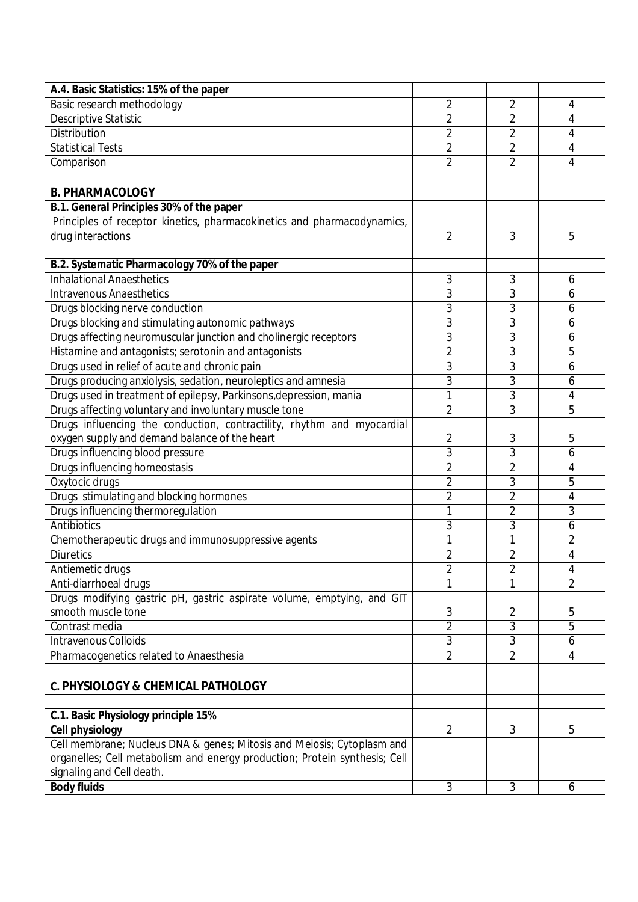| A.4. Basic Statistics: 15% of the paper                                    |                |                |                |
|----------------------------------------------------------------------------|----------------|----------------|----------------|
| Basic research methodology                                                 | 2              | 2              | 4              |
| <b>Descriptive Statistic</b>                                               | $\overline{2}$ | 2              | 4              |
| Distribution                                                               | $\overline{2}$ | 2              | 4              |
| <b>Statistical Tests</b>                                                   | 2              | 2              | 4              |
| Comparison                                                                 | $\overline{2}$ | 2              | 4              |
|                                                                            |                |                |                |
| <b>B. PHARMACOLOGY</b>                                                     |                |                |                |
| B.1. General Principles 30% of the paper                                   |                |                |                |
| Principles of receptor kinetics, pharmacokinetics and pharmacodynamics,    |                |                |                |
| drug interactions                                                          | 2              | 3              | 5              |
|                                                                            |                |                |                |
| B.2. Systematic Pharmacology 70% of the paper                              |                |                |                |
| <b>Inhalational Anaesthetics</b>                                           | 3              | 3              | 6              |
| <b>Intravenous Anaesthetics</b>                                            | 3              | 3              | 6              |
| Drugs blocking nerve conduction                                            | 3              | $\overline{3}$ | 6              |
| Drugs blocking and stimulating autonomic pathways                          | 3              | 3              | 6              |
| Drugs affecting neuromuscular junction and cholinergic receptors           | 3              | 3              | 6              |
| Histamine and antagonists; serotonin and antagonists                       | $\overline{2}$ | 3              | 5              |
| Drugs used in relief of acute and chronic pain                             | 3              | $\overline{3}$ | 6              |
| Drugs producing anxiolysis, sedation, neuroleptics and amnesia             | 3              | $\overline{3}$ | 6              |
| Drugs used in treatment of epilepsy, Parkinsons, depression, mania         | 1              | 3              | 4              |
| Drugs affecting voluntary and involuntary muscle tone                      | $\overline{2}$ | 3              | 5              |
| Drugs influencing the conduction, contractility, rhythm and myocardial     |                |                |                |
| oxygen supply and demand balance of the heart                              | 2              | 3              | 5              |
| Drugs influencing blood pressure                                           | $\overline{3}$ | 3              | 6              |
| Drugs influencing homeostasis                                              | $\overline{2}$ | $\overline{2}$ | 4              |
| Oxytocic drugs                                                             | $\overline{2}$ | 3              | 5              |
| Drugs stimulating and blocking hormones                                    | $\overline{2}$ | 2              | 4              |
| Drugs influencing thermoregulation                                         | 1              | $\overline{2}$ | 3              |
| <b>Antibiotics</b>                                                         | 3              | 3              | 6              |
| Chemotherapeutic drugs and immunosuppressive agents                        | 1              | 1              | $\overline{2}$ |
| <b>Diuretics</b>                                                           | $\overline{2}$ | $\overline{2}$ | $\overline{4}$ |
| Antiemetic drugs                                                           | 2              | 2              | 4              |
| Anti-diarrhoeal drugs                                                      |                | 1              | $\overline{2}$ |
| Drugs modifying gastric pH, gastric aspirate volume, emptying, and GIT     |                |                |                |
| smooth muscle tone                                                         | 3              | 2              | 5              |
| Contrast media                                                             | $\overline{2}$ | 3              | 5              |
| <b>Intravenous Colloids</b>                                                | 3              | 3              | 6              |
| Pharmacogenetics related to Anaesthesia                                    | $\overline{2}$ | $\overline{2}$ | 4              |
|                                                                            |                |                |                |
| <b>C. PHYSIOLOGY &amp; CHEMICAL PATHOLOGY</b>                              |                |                |                |
|                                                                            |                |                |                |
| C.1. Basic Physiology principle 15%                                        |                |                |                |
| <b>Cell physiology</b>                                                     | $\overline{2}$ | 3              | 5              |
| Cell membrane; Nucleus DNA & genes; Mitosis and Meiosis; Cytoplasm and     |                |                |                |
| organelles; Cell metabolism and energy production; Protein synthesis; Cell |                |                |                |
| signaling and Cell death.                                                  |                |                |                |
| <b>Body fluids</b>                                                         | 3              | 3              | 6              |